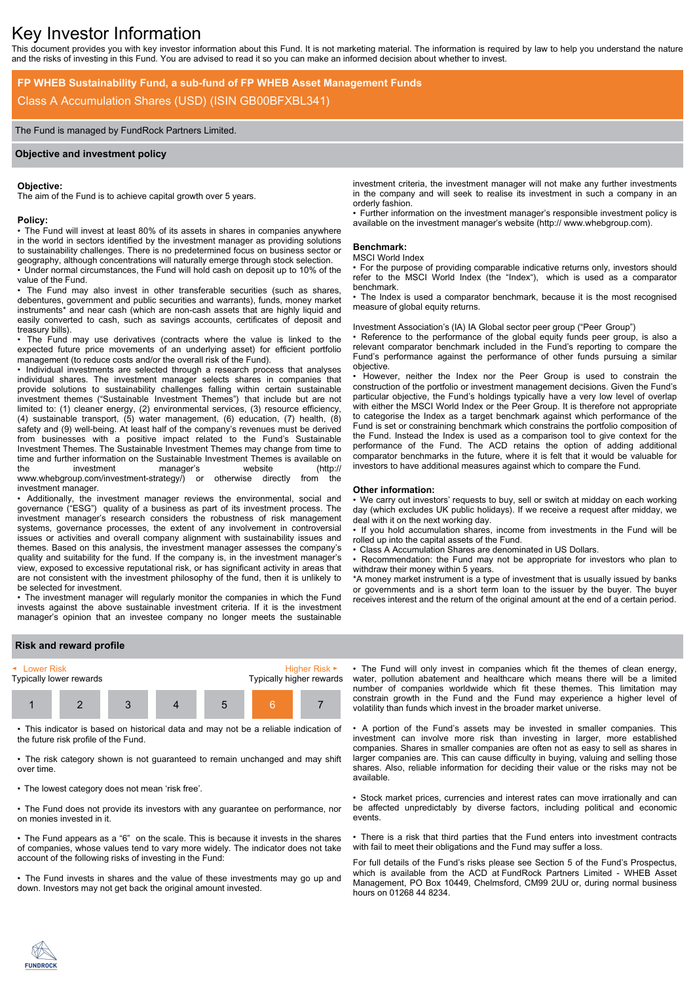# Key Investor Information

This document provides you with key investor information about this Fund. It is not marketing material. The information is required by law to help you understand the nature and the risks of investing in this Fund. You are advised to read it so you can make an informed decision about whether to invest.

# **FP WHEB Sustainability Fund, a sub-fund of FP WHEB Asset Management Funds** Class A Accumulation Shares (USD) (ISIN GB00BFXBL341)

# The Fund is managed by FundRock Partners Limited.

# **Objective and investment policy**

# **Objective:**

The aim of the Fund is to achieve capital growth over 5 years.

#### **Policy:**

• The Fund will invest at least 80% of its assets in shares in companies anywhere in the world in sectors identified by the investment manager as providing solutions to sustainability challenges. There is no predetermined focus on business sector or geography, although concentrations will naturally emerge through stock selection.

• Under normal circumstances, the Fund will hold cash on deposit up to 10% of the value of the Fund.

The Fund may also invest in other transferable securities (such as shares, debentures, government and public securities and warrants), funds, money market instruments\* and near cash (which are non-cash assets that are highly liquid and easily converted to cash, such as savings accounts, certificates of deposit and treasury bills).

• The Fund may use derivatives (contracts where the value is linked to the expected future price movements of an underlying asset) for efficient portfolio management (to reduce costs and/or the overall risk of the Fund).

• Individual investments are selected through a research process that analyses individual shares. The investment manager selects shares in companies that provide solutions to sustainability challenges falling within certain sustainable investment themes ("Sustainable Investment Themes") that include but are not limited to: (1) cleaner energy, (2) environmental services, (3) resource efficiency, (4) sustainable transport, (5) water management, (6) education, (7) health, (8) safety and (9) well-being. At least half of the company's revenues must be derived from businesses with a positive impact related to the Fund's Sustainable Investment Themes. The Sustainable Investment Themes may change from time to time and further information on the Sustainable Investment Themes is available on the investment manager's website (http:// www.whebgroup.com/investment-strategy/) or otherwise directly from the investment manager.

• Additionally, the investment manager reviews the environmental, social and governance ("ESG") quality of a business as part of its investment process. The investment manager's research considers the robustness of risk management systems, governance processes, the extent of any involvement in controversial issues or activities and overall company alignment with sustainability issues and themes. Based on this analysis, the investment manager assesses the company's quality and suitability for the fund. If the company is, in the investment manager's view, exposed to excessive reputational risk, or has significant activity in areas that are not consistent with the investment philosophy of the fund, then it is unlikely to be selected for investment.

• The investment manager will regularly monitor the companies in which the Fund invests against the above sustainable investment criteria. If it is the investment manager's opinion that an investee company no longer meets the sustainable

investment criteria, the investment manager will not make any further investments in the company and will seek to realise its investment in such a company in an orderly fashion.

• Further information on the investment manager's responsible investment policy is available on the investment manager's website (http:// www.whebgroup.com).

#### **Benchmark:**

# MSCI World Index

• For the purpose of providing comparable indicative returns only, investors should refer to the MSCI World Index (the "Index"), which is used as a comparator benchmark.

• The Index is used a comparator benchmark, because it is the most recognised measure of global equity returns.

# Investment Association's (IA) IA Global sector peer group ("Peer Group")

• Reference to the performance of the global equity funds peer group, is also a relevant comparator benchmark included in the Fund's reporting to compare the Fund's performance against the performance of other funds pursuing a similar objective.

• However, neither the Index nor the Peer Group is used to constrain the construction of the portfolio or investment management decisions. Given the Fund's particular objective, the Fund's holdings typically have a very low level of overlap with either the MSCI World Index or the Peer Group. It is therefore not appropriate to categorise the Index as a target benchmark against which performance of the Fund is set or constraining benchmark which constrains the portfolio composition of the Fund. Instead the Index is used as a comparison tool to give context for the performance of the Fund. The ACD retains the option of adding additional comparator benchmarks in the future, where it is felt that it would be valuable for investors to have additional measures against which to compare the Fund.

#### **Other information:**

• We carry out investors' requests to buy, sell or switch at midday on each working day (which excludes UK public holidays). If we receive a request after midday, we deal with it on the next working day.

• If you hold accumulation shares, income from investments in the Fund will be rolled up into the capital assets of the Fund.

• Class A Accumulation Shares are denominated in US Dollars.

• Recommendation: the Fund may not be appropriate for investors who plan to withdraw their money within 5 years.

\*A money market instrument is a type of investment that is usually issued by banks or governments and is a short term loan to the issuer by the buyer. The buyer receives interest and the return of the original amount at the end of a certain period.

# **Risk and reward profile**



• This indicator is based on historical data and may not be a reliable indication of the future risk profile of the Fund.

• The risk category shown is not guaranteed to remain unchanged and may shift over time.

• The lowest category does not mean 'risk free'.

• The Fund does not provide its investors with any guarantee on performance, nor on monies invested in it.

• The Fund appears as a "6" on the scale. This is because it invests in the shares of companies, whose values tend to vary more widely. The indicator does not take account of the following risks of investing in the Fund:

• The Fund invests in shares and the value of these investments may go up and down. Investors may not get back the original amount invested.

• The Fund will only invest in companies which fit the themes of clean energy, water, pollution abatement and healthcare which means there will be a limited number of companies worldwide which fit these themes. This limitation may constrain growth in the Fund and the Fund may experience a higher level of volatility than funds which invest in the broader market universe.

• A portion of the Fund's assets may be invested in smaller companies. This investment can involve more risk than investing in larger, more established companies. Shares in smaller companies are often not as easy to sell as shares in larger companies are. This can cause difficulty in buying, valuing and selling those shares. Also, reliable information for deciding their value or the risks may not be available.

• Stock market prices, currencies and interest rates can move irrationally and can be affected unpredictably by diverse factors, including political and economic events.

• There is a risk that third parties that the Fund enters into investment contracts with fail to meet their obligations and the Fund may suffer a loss.

For full details of the Fund's risks please see Section 5 of the Fund's Prospectus, which is available from the ACD at FundRock Partners Limited - WHEB Asset Management, PO Box 10449, Chelmsford, CM99 2UU or, during normal business hours on 01268 44 8234.